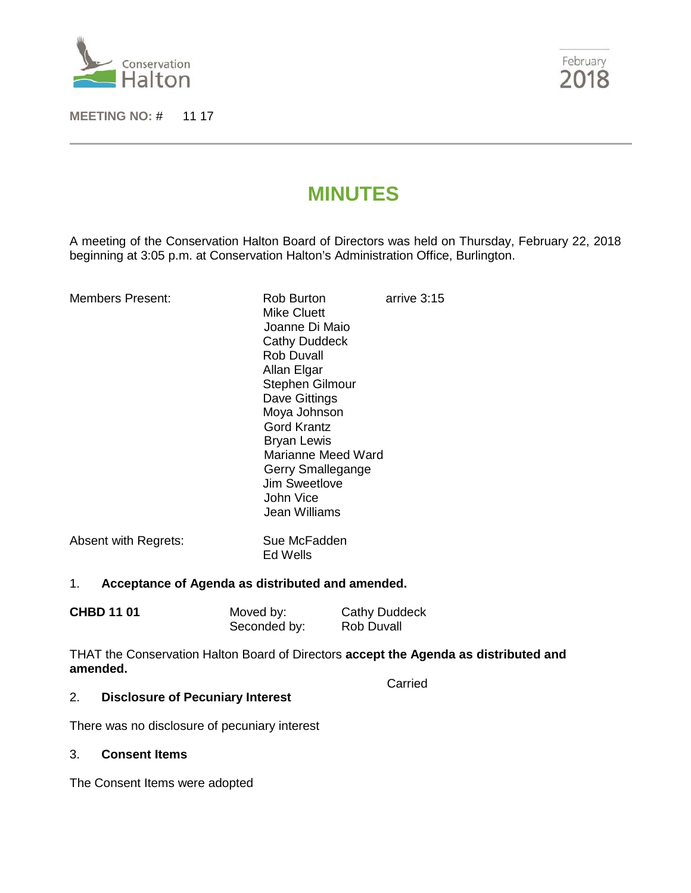

**MEETING NO:** # 11 17



# **MINUTES**

A meeting of the Conservation Halton Board of Directors was held on Thursday, February 22, 2018 beginning at 3:05 p.m. at Conservation Halton's Administration Office, Burlington.

| Members Present:     | Rob Burton<br>Mike Cluett<br>Joanne Di Maio<br><b>Cathy Duddeck</b><br><b>Rob Duvall</b><br>Allan Elgar<br>Stephen Gilmour<br>Dave Gittings<br>Moya Johnson<br>Gord Krantz<br><b>Bryan Lewis</b><br>Marianne Meed Ward<br>Gerry Smallegange<br>Jim Sweetlove<br>John Vice<br>Jean Williams | arrive 3:15 |
|----------------------|--------------------------------------------------------------------------------------------------------------------------------------------------------------------------------------------------------------------------------------------------------------------------------------------|-------------|
| Absent with Regrets: | Sue McFadden                                                                                                                                                                                                                                                                               |             |

Ed Wells

# 1. **Acceptance of Agenda as distributed and amended.**

| <b>CHBD 11 01</b> | Moved by:    | Cathy Duddeck     |
|-------------------|--------------|-------------------|
|                   | Seconded by: | <b>Rob Duvall</b> |

THAT the Conservation Halton Board of Directors **accept the Agenda as distributed and amended.**

**Carried** 

# 2. **Disclosure of Pecuniary Interest**

There was no disclosure of pecuniary interest

#### 3. **Consent Items**

The Consent Items were adopted